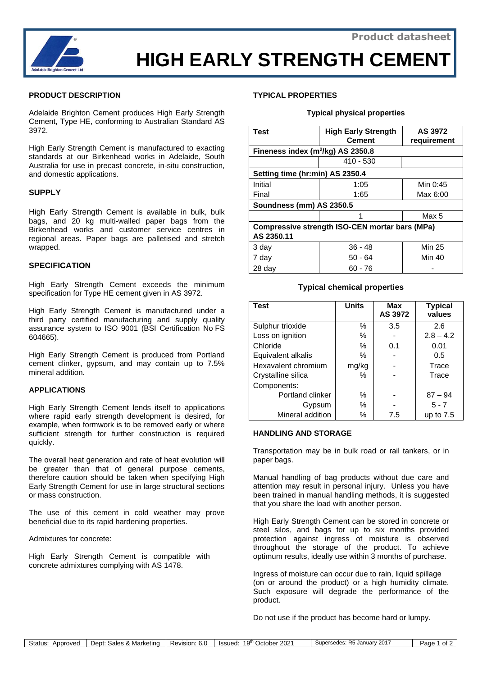

# **HIGH EARLY STRENGTH CEMENT**

## **PRODUCT DESCRIPTION**

Adelaide Brighton Cement produces High Early Strength Cement, Type HE, conforming to Australian Standard AS 3972.

High Early Strength Cement is manufactured to exacting standards at our Birkenhead works in Adelaide, South Australia for use in precast concrete, in-situ construction, and domestic applications.

## **SUPPLY**

High Early Strength Cement is available in bulk, bulk bags, and 20 kg multi-walled paper bags from the Birkenhead works and customer service centres in regional areas. Paper bags are palletised and stretch wrapped.

## **SPECIFICATION**

High Early Strength Cement exceeds the minimum specification for Type HE cement given in AS 3972.

High Early Strength Cement is manufactured under a third party certified manufacturing and supply quality assurance system to ISO 9001 (BSI Certification No FS 604665).

High Early Strength Cement is produced from Portland cement clinker, gypsum, and may contain up to 7.5% mineral addition.

## **APPLICATIONS**

High Early Strength Cement lends itself to applications where rapid early strength development is desired, for example, when formwork is to be removed early or where sufficient strength for further construction is required quickly.

The overall heat generation and rate of heat evolution will be greater than that of general purpose cements, therefore caution should be taken when specifying High Early Strength Cement for use in large structural sections or mass construction.

The use of this cement in cold weather may prove beneficial due to its rapid hardening properties.

Admixtures for concrete:

High Early Strength Cement is compatible with concrete admixtures complying with AS 1478.

## **TYPICAL PROPERTIES**

#### **Typical physical properties**

| <b>Test</b>                                           | <b>High Early Strength</b><br><b>Cement</b> | AS 3972<br>requirement |  |  |  |
|-------------------------------------------------------|---------------------------------------------|------------------------|--|--|--|
| Fineness index $(m^2/kg)$ AS 2350.8                   |                                             |                        |  |  |  |
|                                                       | $410 - 530$                                 |                        |  |  |  |
| Setting time (hr:min) AS 2350.4                       |                                             |                        |  |  |  |
| Initial                                               | 1:05                                        | Min 0:45               |  |  |  |
| Final                                                 | 1:65                                        | Max 6:00               |  |  |  |
| Soundness (mm) AS 2350.5                              |                                             |                        |  |  |  |
|                                                       | 1                                           | Max 5                  |  |  |  |
| <b>Compressive strength ISO-CEN mortar bars (MPa)</b> |                                             |                        |  |  |  |
| AS 2350.11                                            |                                             |                        |  |  |  |
| 3 day                                                 | $36 - 48$                                   | Min 25                 |  |  |  |
| 7 day                                                 | 50 - 64                                     | Min 40                 |  |  |  |
| 28 day                                                | 60 - 76                                     |                        |  |  |  |

## **Typical chemical properties**

| <b>Test</b>         | <b>Units</b> | <b>Max</b><br>AS 3972 | <b>Typical</b><br>values |
|---------------------|--------------|-----------------------|--------------------------|
| Sulphur trioxide    | %            | 3.5                   | 2.6                      |
| Loss on ignition    | %            |                       | $2.8 - 4.2$              |
| Chloride            | %            | 0.1                   | 0.01                     |
| Equivalent alkalis  | %            |                       | 0.5                      |
| Hexavalent chromium | mg/kg        |                       | Trace                    |
| Crystalline silica  | ℅            |                       | Trace                    |
| Components:         |              |                       |                          |
| Portland clinker    | %            |                       | $87 - 94$                |
| Gypsum              | %            |                       | $5 - 7$                  |
| Mineral addition    | ℅            | 7.5                   | up to $7.5$              |

#### **HANDLING AND STORAGE**

Transportation may be in bulk road or rail tankers, or in paper bags.

Manual handling of bag products without due care and attention may result in personal injury. Unless you have been trained in manual handling methods, it is suggested that you share the load with another person.

High Early Strength Cement can be stored in concrete or steel silos, and bags for up to six months provided protection against ingress of moisture is observed throughout the storage of the product. To achieve optimum results, ideally use within 3 months of purchase.

Ingress of moisture can occur due to rain, liquid spillage (on or around the product) or a high humidity climate. Such exposure will degrade the performance of the product.

Do not use if the product has become hard or lumpy.